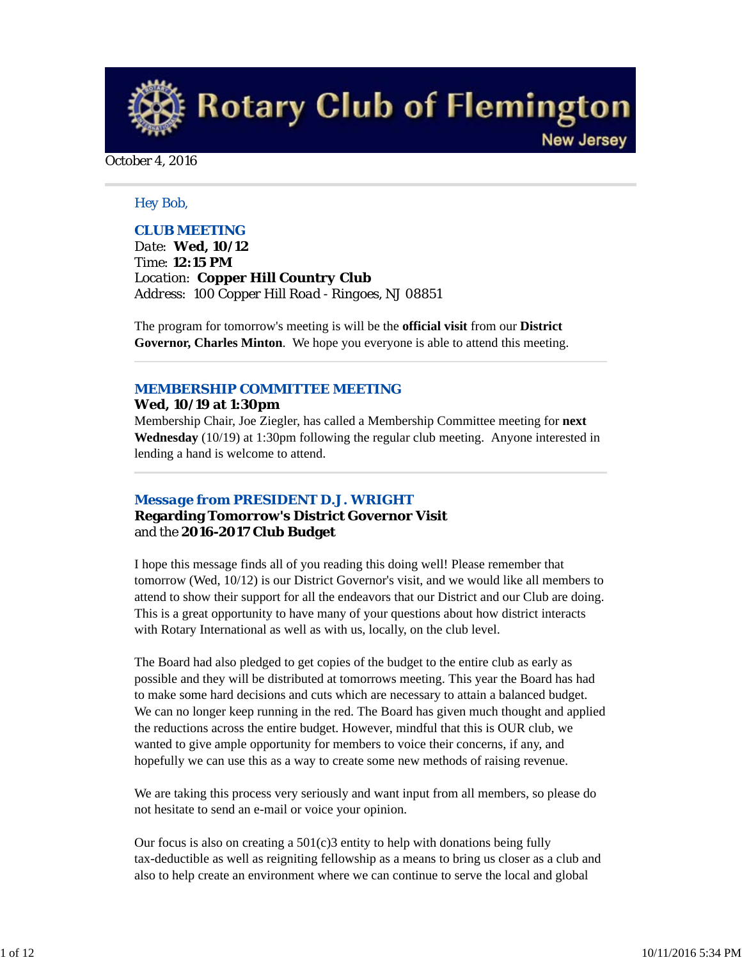**Rotary Club of Flemington New Jersey** 

October 4, 2016

### *Hey Bob,*

### *CLUB MEETING*

*Date: Wed, 10/12 Time: 12:15 PM Location: Copper Hill Country Club Address: 100 Copper Hill Road - Ringoes, NJ 08851*

The program for tomorrow's meeting is will be the **official visit** from our **District Governor, Charles Minton**. We hope you everyone is able to attend this meeting.

### *MEMBERSHIP COMMITTEE MEETING*

### **Wed, 10/19 at 1:30pm**

Membership Chair, Joe Ziegler, has called a Membership Committee meeting for **next Wednesday** (10/19) at 1:30pm following the regular club meeting. Anyone interested in lending a hand is welcome to attend.

### *Message from PRESIDENT D.J. WRIGHT*

### **Regarding Tomorrow's District Governor Visit** and the **2016-2017 Club Budget**

I hope this message finds all of you reading this doing well! Please remember that tomorrow (Wed, 10/12) is our District Governor's visit, and we would like all members to attend to show their support for all the endeavors that our District and our Club are doing. This is a great opportunity to have many of your questions about how district interacts with Rotary International as well as with us, locally, on the club level.

The Board had also pledged to get copies of the budget to the entire club as early as possible and they will be distributed at tomorrows meeting. This year the Board has had to make some hard decisions and cuts which are necessary to attain a balanced budget. We can no longer keep running in the red. The Board has given much thought and applied the reductions across the entire budget. However, mindful that this is OUR club, we wanted to give ample opportunity for members to voice their concerns, if any, and hopefully we can use this as a way to create some new methods of raising revenue.

We are taking this process very seriously and want input from all members, so please do not hesitate to send an e-mail or voice your opinion.

Our focus is also on creating a  $501(c)3$  entity to help with donations being fully tax-deductible as well as reigniting fellowship as a means to bring us closer as a club and also to help create an environment where we can continue to serve the local and global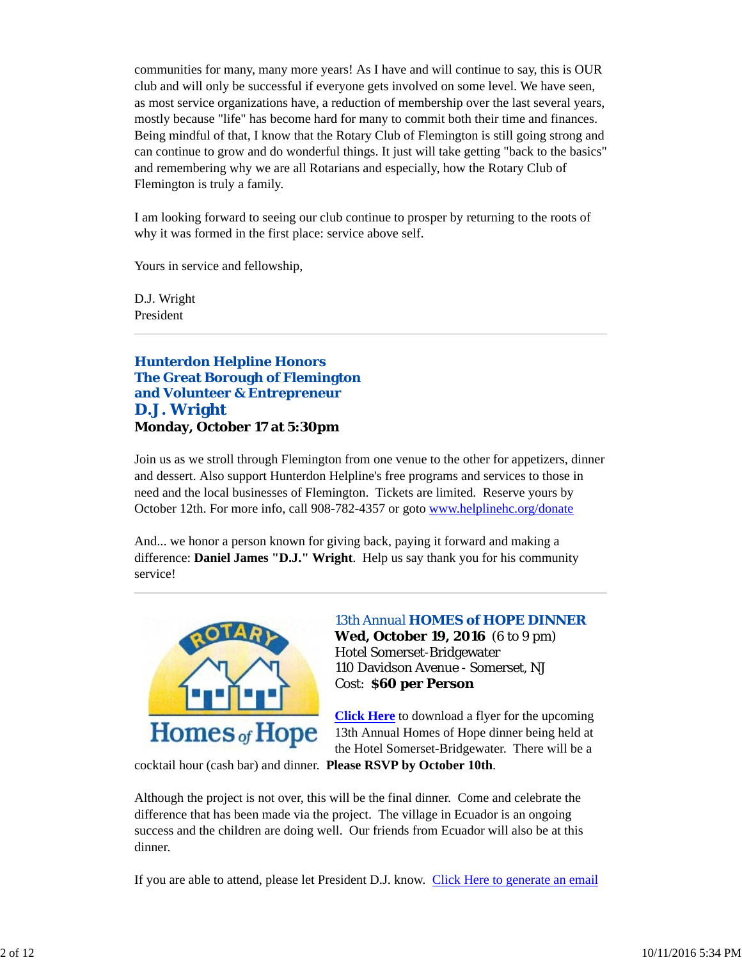communities for many, many more years! As I have and will continue to say, this is OUR club and will only be successful if everyone gets involved on some level. We have seen, as most service organizations have, a reduction of membership over the last several years, mostly because "life" has become hard for many to commit both their time and finances. Being mindful of that, I know that the Rotary Club of Flemington is still going strong and can continue to grow and do wonderful things. It just will take getting "back to the basics" and remembering why we are all Rotarians and especially, how the Rotary Club of Flemington is truly a family.

I am looking forward to seeing our club continue to prosper by returning to the roots of why it was formed in the first place: service above self.

Yours in service and fellowship,

D.J. Wright President

# **Hunterdon Helpline Honors The Great Borough of Flemington and Volunteer & Entrepreneur D.J. Wright Monday, October 17 at 5:30pm**

Join us as we stroll through Flemington from one venue to the other for appetizers, dinner and dessert. Also support Hunterdon Helpline's free programs and services to those in need and the local businesses of Flemington. Tickets are limited. Reserve yours by October 12th. For more info, call 908-782-4357 or goto www.helplinehc.org/donate

And... we honor a person known for giving back, paying it forward and making a difference: **Daniel James "D.J." Wright**. Help us say thank you for his community service!



*13th Annual HOMES of HOPE DINNER* **Wed, October 19, 2016** (6 to 9 pm) Hotel Somerset-Bridgewater 110 Davidson Avenue - Somerset, NJ Cost: **\$60 per Person**

**Click Here** to download a flyer for the upcoming 13th Annual Homes of Hope dinner being held at the Hotel Somerset-Bridgewater. There will be a

cocktail hour (cash bar) and dinner. **Please RSVP by October 10th**.

Although the project is not over, this will be the final dinner. Come and celebrate the difference that has been made via the project. The village in Ecuador is an ongoing success and the children are doing well. Our friends from Ecuador will also be at this dinner.

If you are able to attend, please let President D.J. know. Click Here to generate an email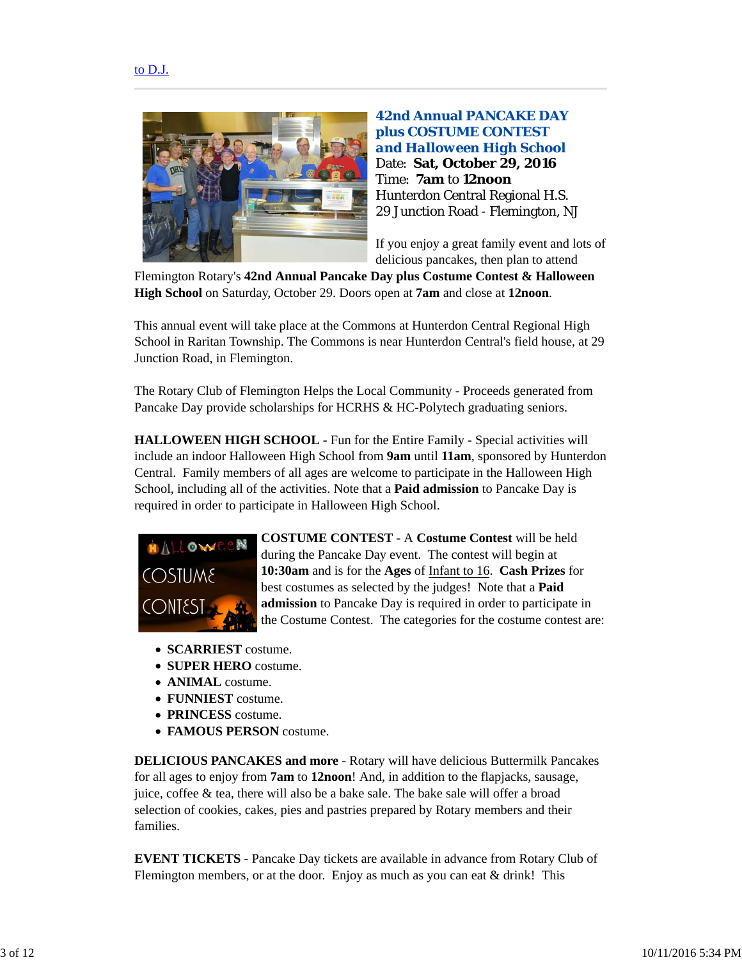

**42nd Annual PANCAKE DAY plus COSTUME CONTEST**  *and Halloween High School* Date: **Sat, October 29, 2016** Time: **7am** to **12noon** Hunterdon Central Regional H.S. 29 Junction Road - Flemington, NJ

If you enjoy a great family event and lots of delicious pancakes, then plan to attend

Flemington Rotary's **42nd Annual Pancake Day plus Costume Contest & Halloween High School** on Saturday, October 29. Doors open at **7am** and close at **12noon**.

This annual event will take place at the Commons at Hunterdon Central Regional High School in Raritan Township. The Commons is near Hunterdon Central's field house, at 29 Junction Road, in Flemington.

The Rotary Club of Flemington Helps the Local Community - Proceeds generated from Pancake Day provide scholarships for HCRHS & HC-Polytech graduating seniors.

**HALLOWEEN HIGH SCHOOL** - Fun for the Entire Family - Special activities will include an indoor Halloween High School from **9am** until **11am**, sponsored by Hunterdon Central. Family members of all ages are welcome to participate in the Halloween High School, including all of the activities. Note that a **Paid admission** to Pancake Day is required in order to participate in Halloween High School.



**COSTUME CONTEST** - A **Costume Contest** will be held during the Pancake Day event. The contest will begin at **10:30am** and is for the **Ages** of Infant to 16. **Cash Prizes** for best costumes as selected by the judges! Note that a **Paid admission** to Pancake Day is required in order to participate in the Costume Contest. The categories for the costume contest are:

- **SCARRIEST** costume.
- **SUPER HERO** costume.
- **ANIMAL** costume.
- **FUNNIEST** costume.
- **PRINCESS** costume.
- **FAMOUS PERSON** costume.

**DELICIOUS PANCAKES and more** - Rotary will have delicious Buttermilk Pancakes for all ages to enjoy from **7am** to **12noon**! And, in addition to the flapjacks, sausage, juice, coffee & tea, there will also be a bake sale. The bake sale will offer a broad selection of cookies, cakes, pies and pastries prepared by Rotary members and their families.

**EVENT TICKETS** - Pancake Day tickets are available in advance from Rotary Club of Flemington members, or at the door. Enjoy as much as you can eat & drink! This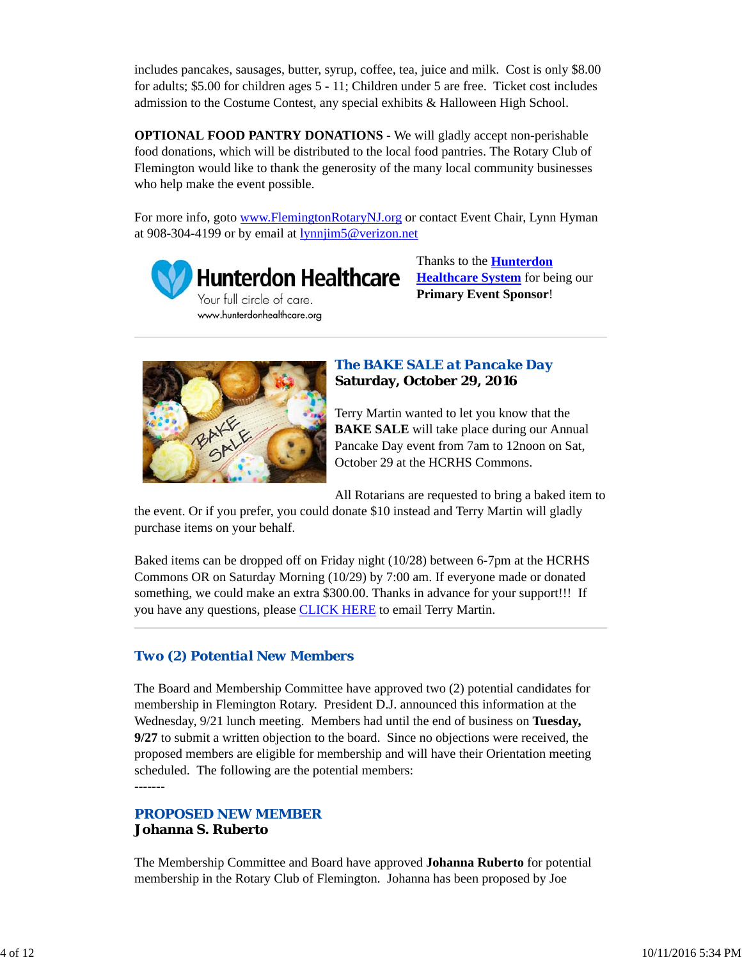includes pancakes, sausages, butter, syrup, coffee, tea, juice and milk. Cost is only \$8.00 for adults; \$5.00 for children ages 5 - 11; Children under 5 are free. Ticket cost includes admission to the Costume Contest, any special exhibits & Halloween High School.

**OPTIONAL FOOD PANTRY DONATIONS** - We will gladly accept non-perishable food donations, which will be distributed to the local food pantries. The Rotary Club of Flemington would like to thank the generosity of the many local community businesses who help make the event possible.

For more info, goto www.FlemingtonRotaryNJ.org or contact Event Chair, Lynn Hyman at 908-304-4199 or by email at lynnjim5@verizon.net



www.hunterdonhealthcare.org

Thanks to the **Hunterdon Healthcare System** for being our **Primary Event Sponsor**!



# *The BAKE SALE at Pancake Day* **Saturday, October 29, 2016**

Terry Martin wanted to let you know that the **BAKE SALE** will take place during our Annual Pancake Day event from 7am to 12noon on Sat, October 29 at the HCRHS Commons.

All Rotarians are requested to bring a baked item to

the event. Or if you prefer, you could donate \$10 instead and Terry Martin will gladly purchase items on your behalf.

Baked items can be dropped off on Friday night (10/28) between 6-7pm at the HCRHS Commons OR on Saturday Morning (10/29) by 7:00 am. If everyone made or donated something, we could make an extra \$300.00. Thanks in advance for your support!!! If you have any questions, please CLICK HERE to email Terry Martin.

# *Two (2) Potential New Members*

The Board and Membership Committee have approved two (2) potential candidates for membership in Flemington Rotary. President D.J. announced this information at the Wednesday, 9/21 lunch meeting. Members had until the end of business on **Tuesday, 9/27** to submit a written objection to the board. Since no objections were received, the proposed members are eligible for membership and will have their Orientation meeting scheduled. The following are the potential members: -------

## *PROPOSED NEW MEMBER* **Johanna S. Ruberto**

The Membership Committee and Board have approved **Johanna Ruberto** for potential membership in the Rotary Club of Flemington. Johanna has been proposed by Joe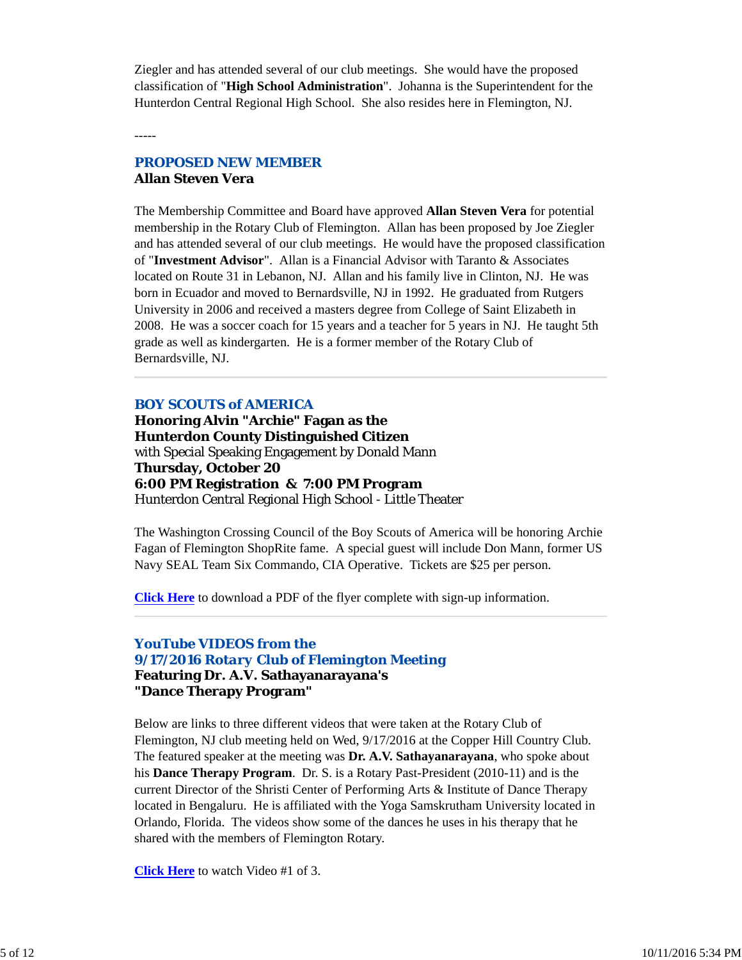Ziegler and has attended several of our club meetings. She would have the proposed classification of "**High School Administration**". Johanna is the Superintendent for the Hunterdon Central Regional High School. She also resides here in Flemington, NJ.

-----

# *PROPOSED NEW MEMBER* **Allan Steven Vera**

The Membership Committee and Board have approved **Allan Steven Vera** for potential membership in the Rotary Club of Flemington. Allan has been proposed by Joe Ziegler and has attended several of our club meetings. He would have the proposed classification of "**Investment Advisor**". Allan is a Financial Advisor with Taranto & Associates located on Route 31 in Lebanon, NJ. Allan and his family live in Clinton, NJ. He was born in Ecuador and moved to Bernardsville, NJ in 1992. He graduated from Rutgers University in 2006 and received a masters degree from College of Saint Elizabeth in 2008. He was a soccer coach for 15 years and a teacher for 5 years in NJ. He taught 5th grade as well as kindergarten. He is a former member of the Rotary Club of Bernardsville, NJ.

### *BOY SCOUTS of AMERICA*

**Honoring Alvin "Archie" Fagan as the Hunterdon County Distinguished Citizen** with Special Speaking Engagement by Donald Mann **Thursday, October 20 6:00 PM Registration & 7:00 PM Program** Hunterdon Central Regional High School - Little Theater

The Washington Crossing Council of the Boy Scouts of America will be honoring Archie Fagan of Flemington ShopRite fame. A special guest will include Don Mann, former US Navy SEAL Team Six Commando, CIA Operative. Tickets are \$25 per person.

**Click Here** to download a PDF of the flyer complete with sign-up information.

# *YouTube VIDEOS from the 9/17/2016 Rotary Club of Flemington Meeting* **Featuring Dr. A.V. Sathayanarayana's "Dance Therapy Program"**

Below are links to three different videos that were taken at the Rotary Club of Flemington, NJ club meeting held on Wed, 9/17/2016 at the Copper Hill Country Club. The featured speaker at the meeting was **Dr. A.V. Sathayanarayana**, who spoke about his **Dance Therapy Program**. Dr. S. is a Rotary Past-President (2010-11) and is the current Director of the Shristi Center of Performing Arts & Institute of Dance Therapy located in Bengaluru. He is affiliated with the Yoga Samskrutham University located in Orlando, Florida. The videos show some of the dances he uses in his therapy that he shared with the members of Flemington Rotary.

**Click Here** to watch Video #1 of 3.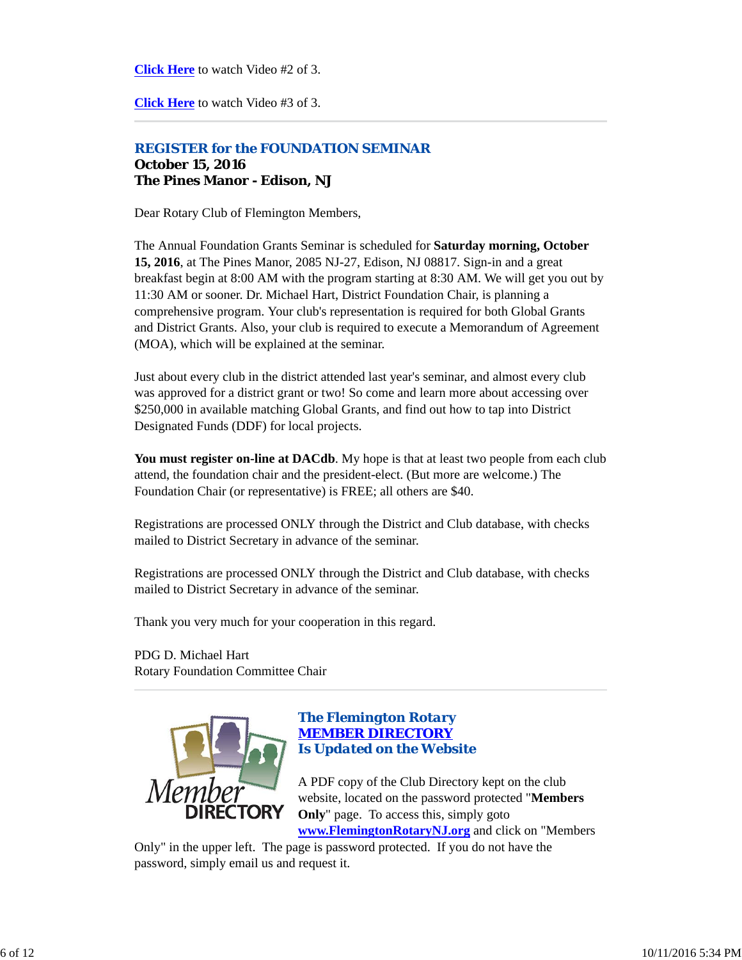**Click Here** to watch Video #2 of 3.

**Click Here** to watch Video #3 of 3.

# *REGISTER for the FOUNDATION SEMINAR* **October 15, 2016 The Pines Manor - Edison, NJ**

Dear Rotary Club of Flemington Members,

The Annual Foundation Grants Seminar is scheduled for **Saturday morning, October 15, 2016**, at The Pines Manor, 2085 NJ-27, Edison, NJ 08817. Sign-in and a great breakfast begin at 8:00 AM with the program starting at 8:30 AM. We will get you out by 11:30 AM or sooner. Dr. Michael Hart, District Foundation Chair, is planning a comprehensive program. Your club's representation is required for both Global Grants and District Grants. Also, your club is required to execute a Memorandum of Agreement (MOA), which will be explained at the seminar.

Just about every club in the district attended last year's seminar, and almost every club was approved for a district grant or two! So come and learn more about accessing over \$250,000 in available matching Global Grants, and find out how to tap into District Designated Funds (DDF) for local projects.

**You must register on-line at DACdb**. My hope is that at least two people from each club attend, the foundation chair and the president-elect. (But more are welcome.) The Foundation Chair (or representative) is FREE; all others are \$40.

Registrations are processed ONLY through the District and Club database, with checks mailed to District Secretary in advance of the seminar.

Registrations are processed ONLY through the District and Club database, with checks mailed to District Secretary in advance of the seminar.

Thank you very much for your cooperation in this regard.

PDG D. Michael Hart Rotary Foundation Committee Chair



### *The Flemington Rotary MEMBER DIRECTORY Is Updated on the Website*

A PDF copy of the Club Directory kept on the club website, located on the password protected "**Members Only**" page. To access this, simply goto **www.FlemingtonRotaryNJ.org** and click on "Members

Only" in the upper left. The page is password protected. If you do not have the password, simply email us and request it.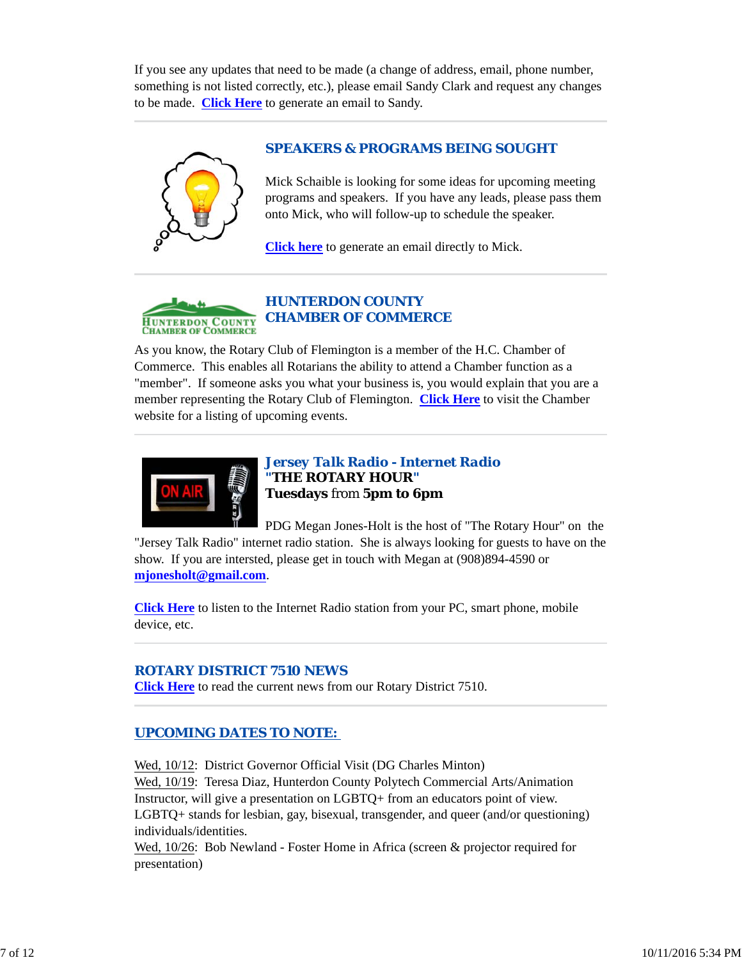If you see any updates that need to be made (a change of address, email, phone number, something is not listed correctly, etc.), please email Sandy Clark and request any changes to be made. **Click Here** to generate an email to Sandy.



# *SPEAKERS & PROGRAMS BEING SOUGHT*

Mick Schaible is looking for some ideas for upcoming meeting programs and speakers. If you have any leads, please pass them onto Mick, who will follow-up to schedule the speaker.

**Click here** to generate an email directly to Mick.



As you know, the Rotary Club of Flemington is a member of the H.C. Chamber of Commerce. This enables all Rotarians the ability to attend a Chamber function as a "member". If someone asks you what your business is, you would explain that you are a member representing the Rotary Club of Flemington. **Click Here** to visit the Chamber website for a listing of upcoming events.



# *Jersey Talk Radio - Internet Radio "THE ROTARY HOUR"* **Tuesdays** from **5pm to 6pm**

PDG Megan Jones-Holt is the host of "The Rotary Hour" on the "Jersey Talk Radio" internet radio station. She is always looking for guests to have on the show. If you are intersted, please get in touch with Megan at (908)894-4590 or **mjonesholt@gmail.com**.

**Click Here** to listen to the Internet Radio station from your PC, smart phone, mobile device, etc.

### *ROTARY DISTRICT 7510 NEWS*

**Click Here** to read the current news from our Rotary District 7510.

# *UPCOMING DATES TO NOTE:*

Wed, 10/12: District Governor Official Visit (DG Charles Minton) Wed, 10/19: Teresa Diaz, Hunterdon County Polytech Commercial Arts/Animation Instructor, will give a presentation on LGBTQ+ from an educators point of view. LGBTQ+ stands for lesbian, gay, bisexual, transgender, and queer (and/or questioning) individuals/identities.

Wed,  $10/26$ : Bob Newland - Foster Home in Africa (screen & projector required for presentation)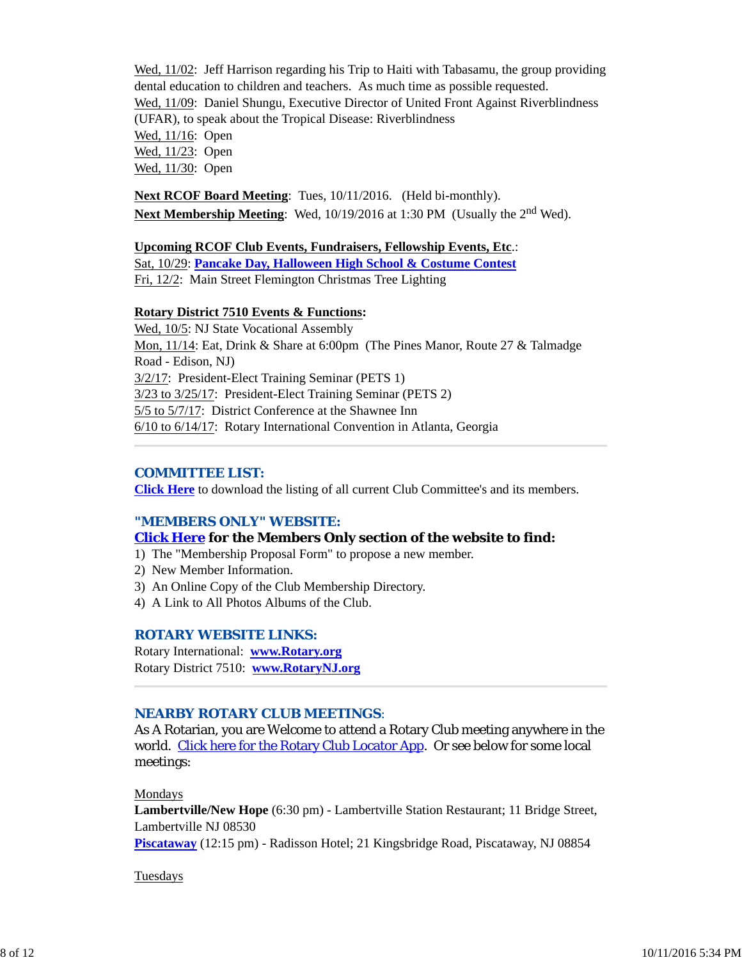Wed, 11/02: Jeff Harrison regarding his Trip to Haiti with Tabasamu, the group providing dental education to children and teachers. As much time as possible requested. Wed, 11/09: Daniel Shungu, Executive Director of United Front Against Riverblindness (UFAR), to speak about the Tropical Disease: Riverblindness Wed, 11/16: Open Wed, 11/23: Open Wed, 11/30: Open

**Next RCOF Board Meeting**: Tues, 10/11/2016. (Held bi-monthly). **Next Membership Meeting**: Wed, 10/19/2016 at 1:30 PM (Usually the 2<sup>nd</sup> Wed).

### **Upcoming RCOF Club Events, Fundraisers, Fellowship Events, Etc**.:

Sat, 10/29: **Pancake Day, Halloween High School & Costume Contest** Fri, 12/2: Main Street Flemington Christmas Tree Lighting

#### **Rotary District 7510 Events & Functions:**

Wed, 10/5: NJ State Vocational Assembly Mon, 11/14: Eat, Drink & Share at 6:00pm (The Pines Manor, Route 27 & Talmadge Road - Edison, NJ) 3/2/17: President-Elect Training Seminar (PETS 1) 3/23 to 3/25/17: President-Elect Training Seminar (PETS 2) 5/5 to 5/7/17: District Conference at the Shawnee Inn 6/10 to 6/14/17: Rotary International Convention in Atlanta, Georgia

### *COMMITTEE LIST:*

**Click Here** to download the listing of all current Club Committee's and its members.

#### *"MEMBERS ONLY" WEBSITE:*

### **Click Here for the Members Only section of the website to find:**

1) The "Membership Proposal Form" to propose a new member.

- 2) New Member Information.
- 3) An Online Copy of the Club Membership Directory.
- 4) A Link to All Photos Albums of the Club.

### *ROTARY WEBSITE LINKS:*

Rotary International: **www.Rotary.org** Rotary District 7510: **www.RotaryNJ.org**

### *NEARBY ROTARY CLUB MEETINGS:*

As A Rotarian, you are Welcome to attend a Rotary Club meeting anywhere in the world. Click here for the Rotary Club Locator App. Or see below for some local meetings:

Mondays

**Lambertville/New Hope** (6:30 pm) - Lambertville Station Restaurant; 11 Bridge Street, Lambertville NJ 08530 **Piscataway** (12:15 pm) - Radisson Hotel; 21 Kingsbridge Road, Piscataway, NJ 08854

Tuesdays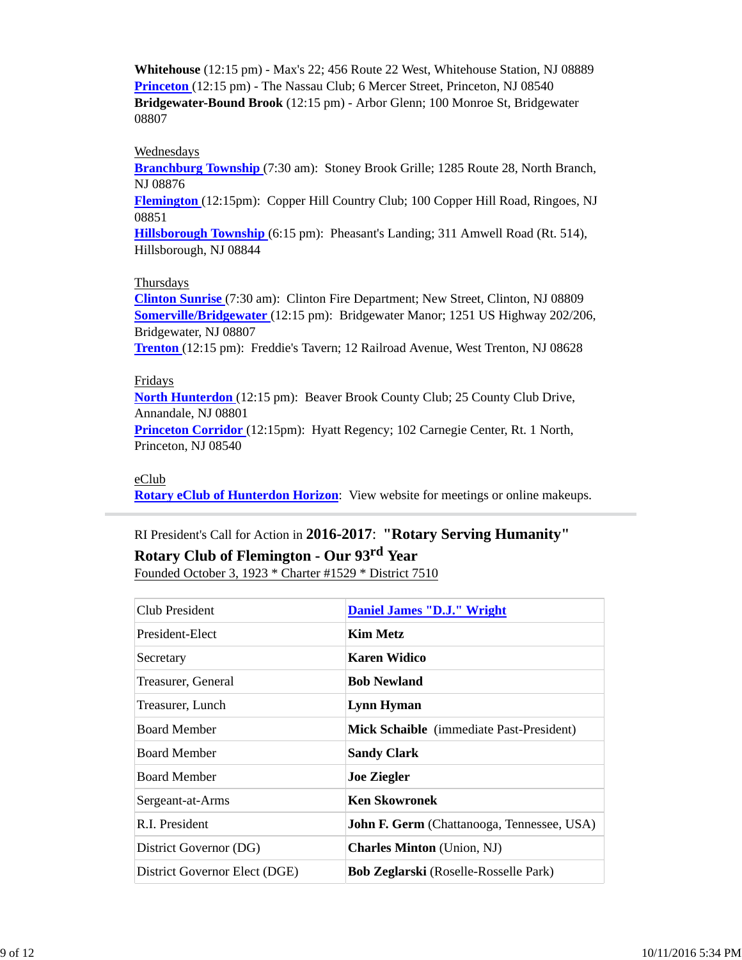**Whitehouse** (12:15 pm) - Max's 22; 456 Route 22 West, Whitehouse Station, NJ 08889 **Princeton** (12:15 pm) - The Nassau Club; 6 Mercer Street, Princeton, NJ 08540 **Bridgewater-Bound Brook** (12:15 pm) - Arbor Glenn; 100 Monroe St, Bridgewater 08807

### **Wednesdays**

**Branchburg Township** (7:30 am): Stoney Brook Grille; 1285 Route 28, North Branch, NJ 08876

**Flemington** (12:15pm): Copper Hill Country Club; 100 Copper Hill Road, Ringoes, NJ 08851

**Hillsborough Township** (6:15 pm): Pheasant's Landing; 311 Amwell Road (Rt. 514), Hillsborough, NJ 08844

### Thursdays

**Clinton Sunrise** (7:30 am): Clinton Fire Department; New Street, Clinton, NJ 08809 **Somerville/Bridgewater** (12:15 pm): Bridgewater Manor; 1251 US Highway 202/206, Bridgewater, NJ 08807

**Trenton** (12:15 pm): Freddie's Tavern; 12 Railroad Avenue, West Trenton, NJ 08628

### Fridays

**North Hunterdon** (12:15 pm): Beaver Brook County Club; 25 County Club Drive, Annandale, NJ 08801

**Princeton Corridor** (12:15pm): Hyatt Regency; 102 Carnegie Center, Rt. 1 North, Princeton, NJ 08540

### eClub

**Rotary eClub of Hunterdon Horizon**: View website for meetings or online makeups.

# RI President's Call for Action in **2016-2017**: **"Rotary Serving Humanity"**

# **Rotary Club of Flemington - Our 93rd Year**

Founded October 3, 1923 \* Charter #1529 \* District 7510

| <b>Daniel James "D.J." Wright</b>                 |
|---------------------------------------------------|
| <b>Kim Metz</b>                                   |
| Karen Widico                                      |
| <b>Bob Newland</b>                                |
| Lynn Hyman                                        |
| Mick Schaible (immediate Past-President)          |
| <b>Sandy Clark</b>                                |
| <b>Joe Ziegler</b>                                |
| <b>Ken Skowronek</b>                              |
| <b>John F. Germ</b> (Chattanooga, Tennessee, USA) |
| <b>Charles Minton</b> (Union, NJ)                 |
| <b>Bob Zeglarski</b> (Roselle-Rosselle Park)      |
|                                                   |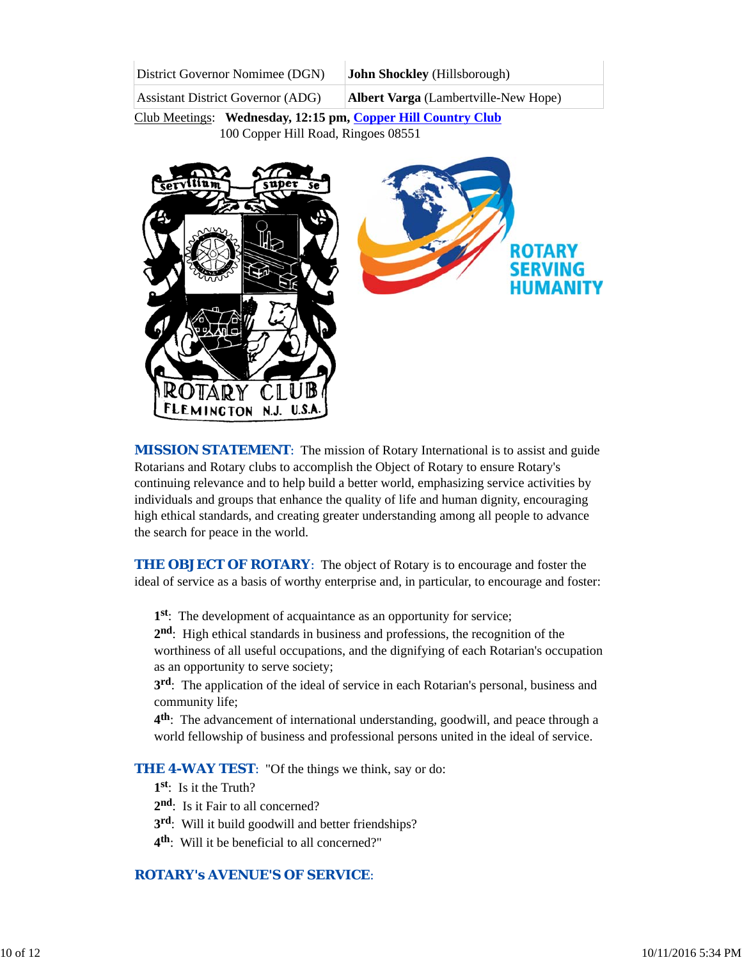| District Governor Nomimee (DGN)          | <b>John Shockley</b> (Hillsborough)         |
|------------------------------------------|---------------------------------------------|
| <b>Assistant District Governor (ADG)</b> | <b>Albert Varga</b> (Lambertville-New Hope) |

Club Meetings: **Wednesday, 12:15 pm, Copper Hill Country Club** 100 Copper Hill Road, Ringoes 08551



*MISSION STATEMENT*: The mission of Rotary International is to assist and guide Rotarians and Rotary clubs to accomplish the Object of Rotary to ensure Rotary's continuing relevance and to help build a better world, emphasizing service activities by individuals and groups that enhance the quality of life and human dignity, encouraging high ethical standards, and creating greater understanding among all people to advance the search for peace in the world.

**THE OBJECT OF ROTARY:** The object of Rotary is to encourage and foster the ideal of service as a basis of worthy enterprise and, in particular, to encourage and foster:

**1st**: The development of acquaintance as an opportunity for service;

**2nd**: High ethical standards in business and professions, the recognition of the worthiness of all useful occupations, and the dignifying of each Rotarian's occupation as an opportunity to serve society;

**3rd**: The application of the ideal of service in each Rotarian's personal, business and community life;

**4th**: The advancement of international understanding, goodwill, and peace through a world fellowship of business and professional persons united in the ideal of service.

**THE 4-WAY TEST:** "Of the things we think, say or do:

**1st**: Is it the Truth?

2<sup>nd</sup>: Is it Fair to all concerned?

- **3rd**: Will it build goodwill and better friendships?
- **4th**: Will it be beneficial to all concerned?"

# *ROTARY's AVENUE'S OF SERVICE*: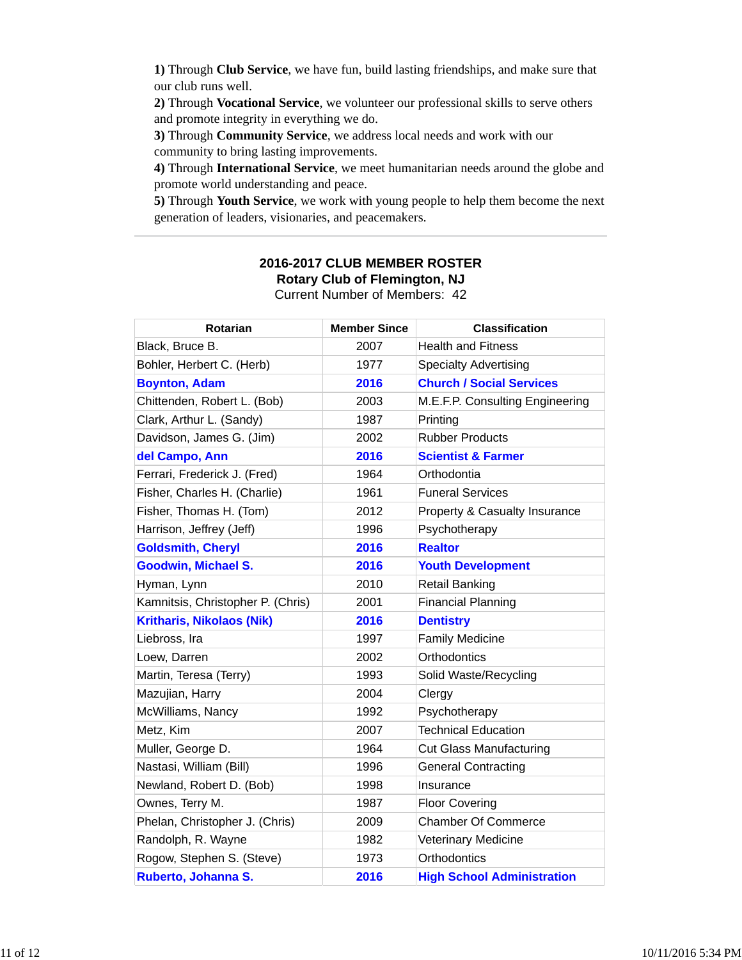**1)** Through **Club Service**, we have fun, build lasting friendships, and make sure that our club runs well.

**2)** Through **Vocational Service**, we volunteer our professional skills to serve others and promote integrity in everything we do.

**3)** Through **Community Service**, we address local needs and work with our community to bring lasting improvements.

**4)** Through **International Service**, we meet humanitarian needs around the globe and promote world understanding and peace.

**5)** Through **Youth Service**, we work with young people to help them become the next generation of leaders, visionaries, and peacemakers.

| <b>Rotarian</b>                   | <b>Member Since</b> | <b>Classification</b>                    |  |  |
|-----------------------------------|---------------------|------------------------------------------|--|--|
| Black, Bruce B.                   | 2007                | <b>Health and Fitness</b>                |  |  |
| Bohler, Herbert C. (Herb)         | 1977                | <b>Specialty Advertising</b>             |  |  |
| <b>Boynton, Adam</b>              | 2016                | <b>Church / Social Services</b>          |  |  |
| Chittenden, Robert L. (Bob)       | 2003                | M.E.F.P. Consulting Engineering          |  |  |
| Clark, Arthur L. (Sandy)          | 1987                | Printing                                 |  |  |
| Davidson, James G. (Jim)          | 2002                | <b>Rubber Products</b>                   |  |  |
| del Campo, Ann                    | 2016                | <b>Scientist &amp; Farmer</b>            |  |  |
| Ferrari, Frederick J. (Fred)      | 1964                | Orthodontia                              |  |  |
| Fisher, Charles H. (Charlie)      | 1961                | <b>Funeral Services</b>                  |  |  |
| Fisher, Thomas H. (Tom)           | 2012                | <b>Property &amp; Casualty Insurance</b> |  |  |
| Harrison, Jeffrey (Jeff)          | 1996                | Psychotherapy                            |  |  |
| <b>Goldsmith, Cheryl</b>          | 2016                | <b>Realtor</b>                           |  |  |
| <b>Goodwin, Michael S.</b>        | 2016                | <b>Youth Development</b>                 |  |  |
| Hyman, Lynn                       | 2010                | <b>Retail Banking</b>                    |  |  |
| Kamnitsis, Christopher P. (Chris) | 2001                | <b>Financial Planning</b>                |  |  |
| <b>Kritharis, Nikolaos (Nik)</b>  | 2016                | <b>Dentistry</b>                         |  |  |
| Liebross, Ira                     | 1997                | <b>Family Medicine</b>                   |  |  |
| Loew, Darren                      | 2002                | Orthodontics                             |  |  |
| Martin, Teresa (Terry)            | 1993                | Solid Waste/Recycling                    |  |  |
| Mazujian, Harry                   | 2004                | Clergy                                   |  |  |
| McWilliams, Nancy                 | 1992                | Psychotherapy                            |  |  |
| Metz, Kim                         | 2007                | <b>Technical Education</b>               |  |  |
| Muller, George D.                 | 1964                | <b>Cut Glass Manufacturing</b>           |  |  |
| Nastasi, William (Bill)           | 1996                | <b>General Contracting</b>               |  |  |
| Newland, Robert D. (Bob)          | 1998                | Insurance                                |  |  |
| Ownes, Terry M.                   | 1987                | <b>Floor Covering</b>                    |  |  |
| Phelan, Christopher J. (Chris)    | 2009                | <b>Chamber Of Commerce</b>               |  |  |
| Randolph, R. Wayne                | 1982                | Veterinary Medicine                      |  |  |
| Rogow, Stephen S. (Steve)         | 1973                | Orthodontics                             |  |  |
| Ruberto, Johanna S.               | 2016                | <b>High School Administration</b>        |  |  |

### **2016-2017 CLUB MEMBER ROSTER Rotary Club of Flemington, NJ** Current Number of Members: 42